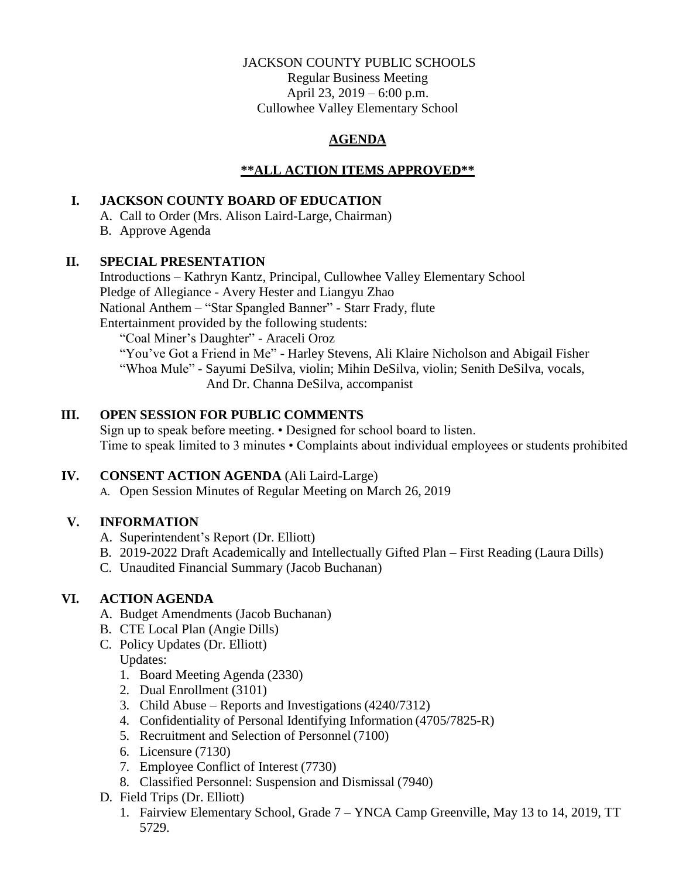## JACKSON COUNTY PUBLIC SCHOOLS

Regular Business Meeting April 23, 2019 – 6:00 p.m. Cullowhee Valley Elementary School

# **AGENDA**

## **\*\*ALL ACTION ITEMS APPROVED\*\***

# **I. JACKSON COUNTY BOARD OF EDUCATION**

A. Call to Order (Mrs. Alison Laird-Large, Chairman)

B. Approve Agenda

## **II. SPECIAL PRESENTATION**

Introductions – Kathryn Kantz, Principal, Cullowhee Valley Elementary School Pledge of Allegiance - Avery Hester and Liangyu Zhao National Anthem – "Star Spangled Banner" - Starr Frady, flute Entertainment provided by the following students: "Coal Miner's Daughter" - Araceli Oroz "You've Got a Friend in Me" - Harley Stevens, Ali Klaire Nicholson and Abigail Fisher

"Whoa Mule" - Sayumi DeSilva, violin; Mihin DeSilva, violin; Senith DeSilva, vocals, And Dr. Channa DeSilva, accompanist

## **III. OPEN SESSION FOR PUBLIC COMMENTS**

Sign up to speak before meeting. • Designed for school board to listen. Time to speak limited to 3 minutes • Complaints about individual employees or students prohibited

## **IV. CONSENT ACTION AGENDA** (Ali Laird-Large)

A. Open Session Minutes of Regular Meeting on March 26, 2019

# **V. INFORMATION**

- A. Superintendent's Report (Dr. Elliott)
- B. 2019-2022 Draft Academically and Intellectually Gifted Plan First Reading (Laura Dills)
- C. Unaudited Financial Summary (Jacob Buchanan)

# **VI. ACTION AGENDA**

- A. Budget Amendments (Jacob Buchanan)
- B. CTE Local Plan (Angie Dills)
- C. Policy Updates (Dr. Elliott) Updates:
	- 1. Board Meeting Agenda (2330)
	- 2. Dual Enrollment (3101)
	- 3. Child Abuse Reports and Investigations (4240/7312)
	- 4. Confidentiality of Personal Identifying Information (4705/7825-R)
	- 5. Recruitment and Selection of Personnel (7100)
	- 6. Licensure (7130)
	- 7. Employee Conflict of Interest (7730)
	- 8. Classified Personnel: Suspension and Dismissal (7940)
- D. Field Trips (Dr. Elliott)
	- 1. Fairview Elementary School, Grade 7 YNCA Camp Greenville, May 13 to 14, 2019, TT 5729.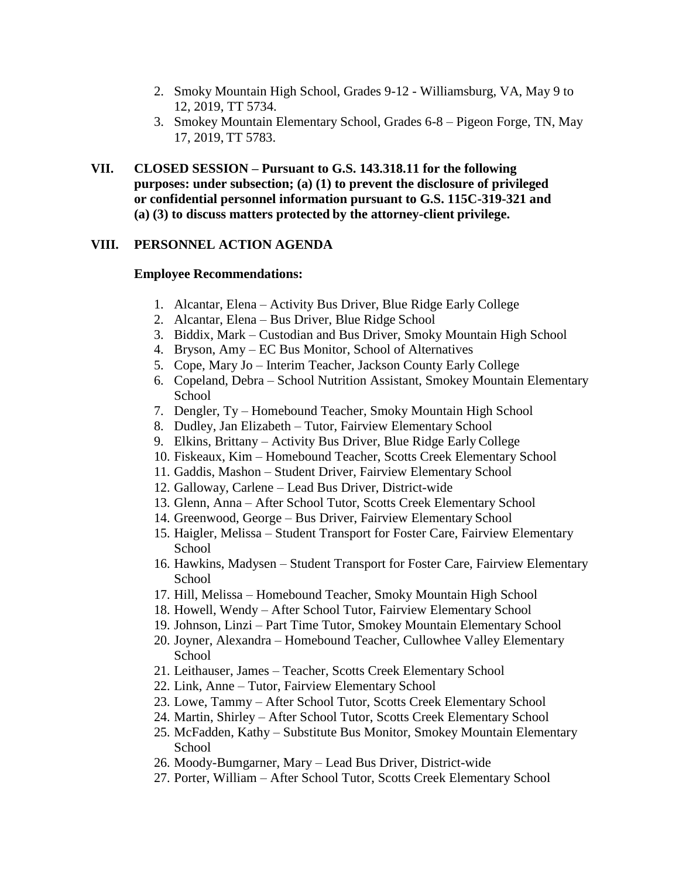- 2. Smoky Mountain High School, Grades 9-12 Williamsburg, VA, May 9 to 12, 2019, TT 5734.
- 3. Smokey Mountain Elementary School, Grades 6-8 Pigeon Forge, TN, May 17, 2019, TT 5783.
- **VII. CLOSED SESSION – Pursuant to G.S. 143.318.11 for the following purposes: under subsection; (a) (1) to prevent the disclosure of privileged or confidential personnel information pursuant to G.S. 115C-319-321 and (a) (3) to discuss matters protected by the attorney-client privilege.**

## **VIII. PERSONNEL ACTION AGENDA**

### **Employee Recommendations:**

- 1. Alcantar, Elena Activity Bus Driver, Blue Ridge Early College
- 2. Alcantar, Elena Bus Driver, Blue Ridge School
- 3. Biddix, Mark Custodian and Bus Driver, Smoky Mountain High School
- 4. Bryson, Amy EC Bus Monitor, School of Alternatives
- 5. Cope, Mary Jo Interim Teacher, Jackson County Early College
- 6. Copeland, Debra School Nutrition Assistant, Smokey Mountain Elementary **School**
- 7. Dengler, Ty Homebound Teacher, Smoky Mountain High School
- 8. Dudley, Jan Elizabeth Tutor, Fairview Elementary School
- 9. Elkins, Brittany Activity Bus Driver, Blue Ridge EarlyCollege
- 10. Fiskeaux, Kim Homebound Teacher, Scotts Creek Elementary School
- 11. Gaddis, Mashon Student Driver, Fairview Elementary School
- 12. Galloway, Carlene Lead Bus Driver, District-wide
- 13. Glenn, Anna After School Tutor, Scotts Creek Elementary School
- 14. Greenwood, George Bus Driver, Fairview Elementary School
- 15. Haigler, Melissa Student Transport for Foster Care, Fairview Elementary School
- 16. Hawkins, Madysen Student Transport for Foster Care, Fairview Elementary School
- 17. Hill, Melissa Homebound Teacher, Smoky Mountain High School
- 18. Howell, Wendy After School Tutor, Fairview Elementary School
- 19. Johnson, Linzi Part Time Tutor, Smokey Mountain Elementary School
- 20. Joyner, Alexandra Homebound Teacher, Cullowhee Valley Elementary School
- 21. Leithauser, James Teacher, Scotts Creek Elementary School
- 22. Link, Anne Tutor, Fairview Elementary School
- 23. Lowe, Tammy After School Tutor, Scotts Creek Elementary School
- 24. Martin, Shirley After School Tutor, Scotts Creek Elementary School
- 25. McFadden, Kathy Substitute Bus Monitor, Smokey Mountain Elementary School
- 26. Moody-Bumgarner, Mary Lead Bus Driver, District-wide
- 27. Porter, William After School Tutor, Scotts Creek Elementary School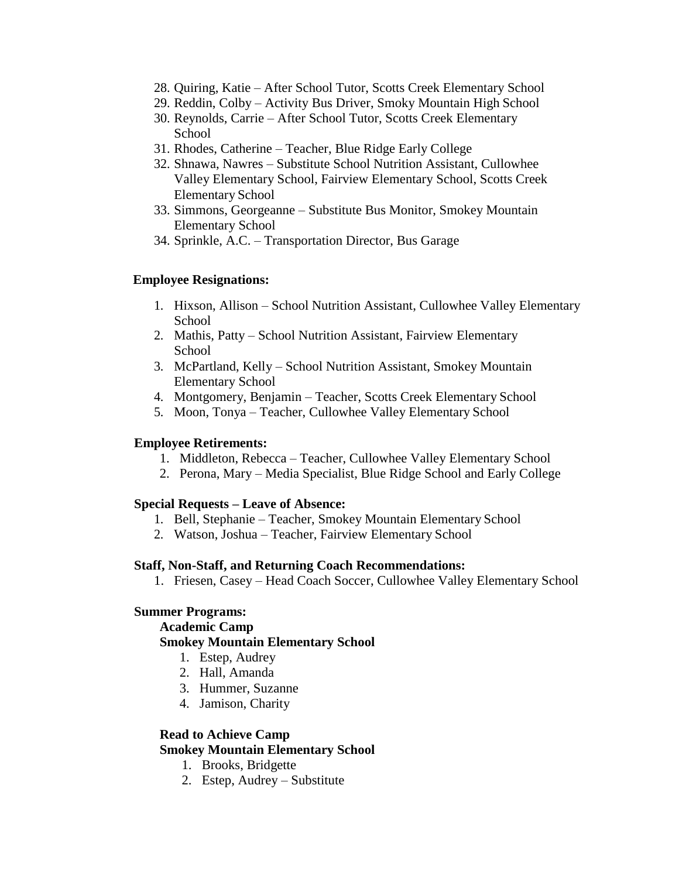- 28. Quiring, Katie After School Tutor, Scotts Creek Elementary School
- 29. Reddin, Colby Activity Bus Driver, Smoky Mountain High School
- 30. Reynolds, Carrie After School Tutor, Scotts Creek Elementary School
- 31. Rhodes, Catherine Teacher, Blue Ridge Early College
- 32. Shnawa, Nawres Substitute School Nutrition Assistant, Cullowhee Valley Elementary School, Fairview Elementary School, Scotts Creek Elementary School
- 33. Simmons, Georgeanne Substitute Bus Monitor, Smokey Mountain Elementary School
- 34. Sprinkle, A.C. Transportation Director, Bus Garage

### **Employee Resignations:**

- 1. Hixson, Allison School Nutrition Assistant, Cullowhee Valley Elementary School
- 2. Mathis, Patty School Nutrition Assistant, Fairview Elementary **School**
- 3. McPartland, Kelly School Nutrition Assistant, Smokey Mountain Elementary School
- 4. Montgomery, Benjamin Teacher, Scotts Creek Elementary School
- 5. Moon, Tonya Teacher, Cullowhee Valley Elementary School

#### **Employee Retirements:**

- 1. Middleton, Rebecca Teacher, Cullowhee Valley Elementary School
- 2. Perona, Mary Media Specialist, Blue Ridge School and Early College

#### **Special Requests – Leave of Absence:**

- 1. Bell, Stephanie Teacher, Smokey Mountain Elementary School
- 2. Watson, Joshua Teacher, Fairview Elementary School

#### **Staff, Non-Staff, and Returning Coach Recommendations:**

1. Friesen, Casey – Head Coach Soccer, Cullowhee Valley Elementary School

#### **Summer Programs:**

#### **Academic Camp**

### **Smokey Mountain Elementary School**

- 1. Estep, Audrey
- 2. Hall, Amanda
- 3. Hummer, Suzanne
- 4. Jamison, Charity

#### **Read to Achieve Camp Smokey Mountain Elementary School**

- - 1. Brooks, Bridgette
	- 2. Estep, Audrey Substitute